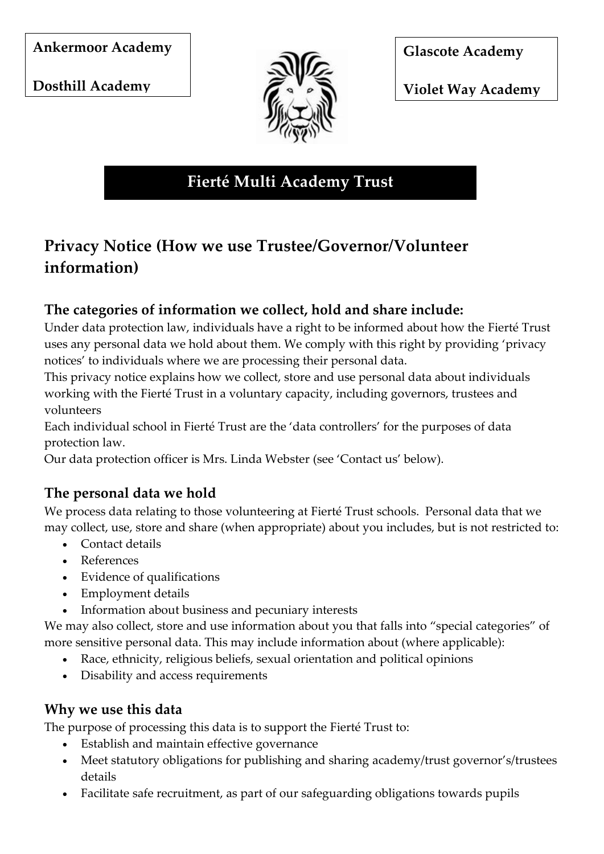**Ankermoor Academy** 

**Dosthill Academy** 



**Glascote Academy** 

**Violet Way Academy** 

**Fierté Multi Academy Trust**

# **Privacy Notice (How we use Trustee/Governor/Volunteer information)**

#### **The categories of information we collect, hold and share include:**

Under data protection law, individuals have a right to be informed about how the Fierté Trust uses any personal data we hold about them. We comply with this right by providing 'privacy notices' to individuals where we are processing their personal data.

This privacy notice explains how we collect, store and use personal data about individuals working with the Fierté Trust in a voluntary capacity, including governors, trustees and volunteers

Each individual school in Fierté Trust are the 'data controllers' for the purposes of data protection law.

Our data protection officer is Mrs. Linda Webster (see 'Contact us' below).

# **The personal data we hold**

We process data relating to those volunteering at Fierté Trust schools. Personal data that we may collect, use, store and share (when appropriate) about you includes, but is not restricted to:

- Contact details
- References
- Evidence of qualifications
- Employment details
- Information about business and pecuniary interests

We may also collect, store and use information about you that falls into "special categories" of more sensitive personal data. This may include information about (where applicable):

- Race, ethnicity, religious beliefs, sexual orientation and political opinions
- Disability and access requirements

#### **Why we use this data**

The purpose of processing this data is to support the Fierté Trust to:

- Establish and maintain effective governance
- Meet statutory obligations for publishing and sharing academy/trust governor's/trustees details
- Facilitate safe recruitment, as part of our safeguarding obligations towards pupils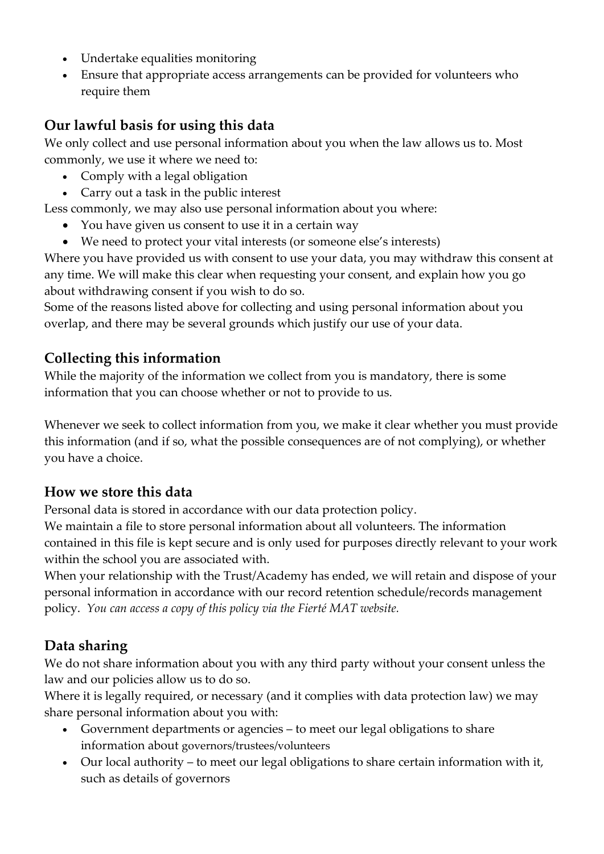- Undertake equalities monitoring
- Ensure that appropriate access arrangements can be provided for volunteers who require them

### **Our lawful basis for using this data**

We only collect and use personal information about you when the law allows us to. Most commonly, we use it where we need to:

- Comply with a legal obligation
- Carry out a task in the public interest

Less commonly, we may also use personal information about you where:

- You have given us consent to use it in a certain way
- We need to protect your vital interests (or someone else's interests)

Where you have provided us with consent to use your data, you may withdraw this consent at any time. We will make this clear when requesting your consent, and explain how you go about withdrawing consent if you wish to do so.

Some of the reasons listed above for collecting and using personal information about you overlap, and there may be several grounds which justify our use of your data.

## **Collecting this information**

While the majority of the information we collect from you is mandatory, there is some information that you can choose whether or not to provide to us.

Whenever we seek to collect information from you, we make it clear whether you must provide this information (and if so, what the possible consequences are of not complying), or whether you have a choice.

#### **How we store this data**

Personal data is stored in accordance with our data protection policy.

We maintain a file to store personal information about all volunteers. The information contained in this file is kept secure and is only used for purposes directly relevant to your work within the school you are associated with.

When your relationship with the Trust/Academy has ended, we will retain and dispose of your personal information in accordance with our record retention schedule/records management policy. *You can access a copy of this policy via the Fierté MAT website.*

# **Data sharing**

We do not share information about you with any third party without your consent unless the law and our policies allow us to do so.

Where it is legally required, or necessary (and it complies with data protection law) we may share personal information about you with:

- Government departments or agencies to meet our legal obligations to share information about governors/trustees/volunteers
- Our local authority to meet our legal obligations to share certain information with it, such as details of governors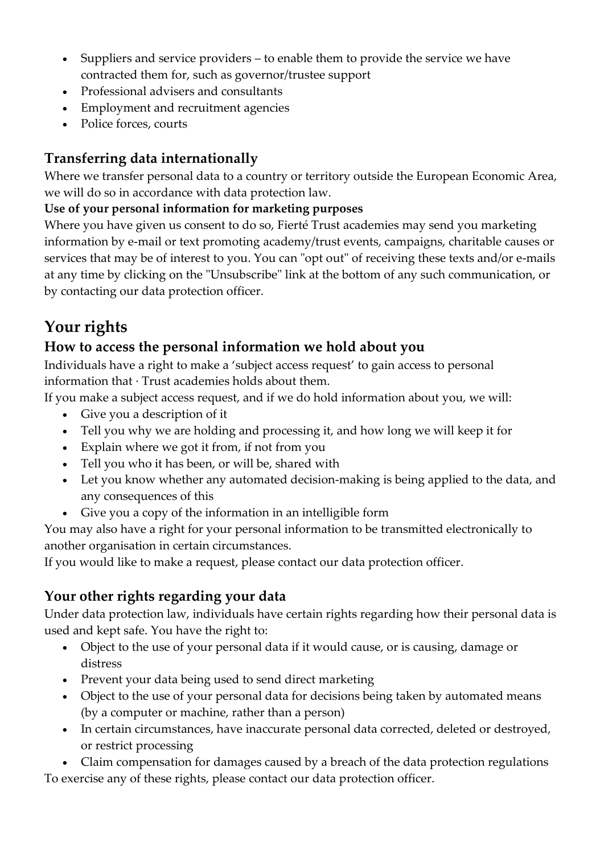- Suppliers and service providers to enable them to provide the service we have contracted them for, such as governor/trustee support
- Professional advisers and consultants
- Employment and recruitment agencies
- Police forces, courts

# **Transferring data internationally**

Where we transfer personal data to a country or territory outside the European Economic Area, we will do so in accordance with data protection law.

#### **Use of your personal information for marketing purposes**

Where you have given us consent to do so, Fierté Trust academies may send you marketing information by e-mail or text promoting academy/trust events, campaigns, charitable causes or services that may be of interest to you. You can "opt out" of receiving these texts and/or e-mails at any time by clicking on the "Unsubscribe" link at the bottom of any such communication, or by contacting our data protection officer.

# **Your rights**

## **How to access the personal information we hold about you**

Individuals have a right to make a 'subject access request' to gain access to personal information that · Trust academies holds about them.

If you make a subject access request, and if we do hold information about you, we will:

- Give you a description of it
- Tell you why we are holding and processing it, and how long we will keep it for
- Explain where we got it from, if not from you
- Tell you who it has been, or will be, shared with
- Let you know whether any automated decision-making is being applied to the data, and any consequences of this
- Give you a copy of the information in an intelligible form

You may also have a right for your personal information to be transmitted electronically to another organisation in certain circumstances.

If you would like to make a request, please contact our data protection officer.

# **Your other rights regarding your data**

Under data protection law, individuals have certain rights regarding how their personal data is used and kept safe. You have the right to:

- Object to the use of your personal data if it would cause, or is causing, damage or distress
- Prevent your data being used to send direct marketing
- Object to the use of your personal data for decisions being taken by automated means (by a computer or machine, rather than a person)
- In certain circumstances, have inaccurate personal data corrected, deleted or destroyed, or restrict processing

 Claim compensation for damages caused by a breach of the data protection regulations To exercise any of these rights, please contact our data protection officer.